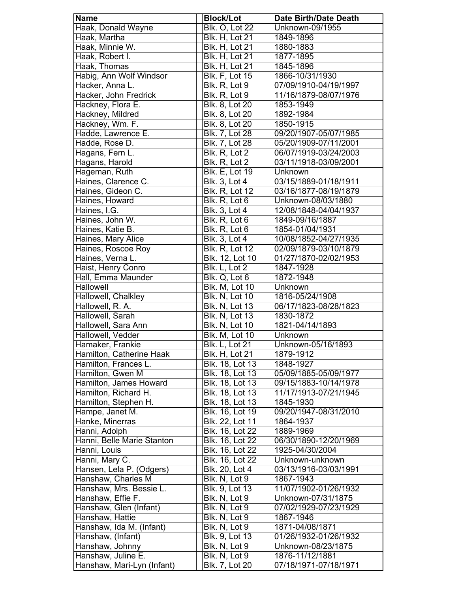| <b>Name</b>                | <b>Block/Lot</b>       | <b>Date Birth/Date Death</b>       |
|----------------------------|------------------------|------------------------------------|
| Haak, Donald Wayne         | <b>Blk. O, Lot 22</b>  | Unknown-09/1955                    |
| Haak, Martha               | <b>Blk. H, Lot 21</b>  | 1849-1896                          |
| Haak, Minnie W.            | <b>Blk. H, Lot 21</b>  | 1880-1883                          |
| Haak, Robert I.            | Blk. H, Lot 21         | 1877-1895                          |
| Haak, Thomas               | <b>Blk. H, Lot 21</b>  | 1845-1896                          |
| Habig, Ann Wolf Windsor    | <b>Blk. F, Lot 15</b>  | 1866-10/31/1930                    |
| Hacker, Anna L.            | Blk. R, Lot 9          | 07/09/1910-04/19/1997              |
| Hacker, John Fredrick      | Blk. R, Lot 9          | 11/16/1879-08/07/1976              |
| Hackney, Flora E.          | Blk. 8, Lot 20         | 1853-1949                          |
| Hackney, Mildred           | Blk. 8, Lot 20         | 1892-1984                          |
| Hackney, Wm. F.            | Blk. 8, Lot 20         | 1850-1915                          |
| Hadde, Lawrence E.         | Blk. 7, Lot 28         | 09/20/1907-05/07/1985              |
| Hadde, Rose D.             |                        | 05/20/1909-07/11/2001              |
|                            | Blk. 7, Lot 28         |                                    |
| Hagans, Fern L.            | Blk. R, Lot 2          | 06/07/1919-03/24/2003              |
| Hagans, Harold             | Blk. R, Lot 2          | 03/11/1918-03/09/2001              |
| Hageman, Ruth              | <b>Blk. E, Lot 19</b>  | Unknown                            |
| Haines, Clarence C.        | <b>Blk.</b> 3, Lot 4   | 03/15/1889-01/18/1911              |
| Haines, Gideon C.          | <b>Blk. R, Lot 12</b>  | 03/16/1877-08/19/1879              |
| Haines, Howard             | Blk. R, Lot 6          | Unknown-08/03/1880                 |
| Haines, I.G.               | <b>Blk. 3, Lot 4</b>   | 12/08/1848-04/04/1937              |
| Haines, John W.            | Blk. R, Lot 6          | 1849-09/16/1887                    |
| Haines, Katie B.           | Blk. R, Lot 6          | 1854-01/04/1931                    |
| Haines, Mary Alice         | <b>Blk. 3, Lot 4</b>   | 10/08/1852-04/27/1935              |
| Haines, Roscoe Roy         | <b>Blk. R, Lot 12</b>  | 02/09/1879-03/10/1879              |
| Haines, Verna L.           | <b>Blk. 12, Lot 10</b> | 01/27/1870-02/02/1953              |
| Haist, Henry Conro         | Blk. L, Lot 2          | 1847-1928                          |
| Hall, Emma Maunder         | Blk. Q, Lot 6          | 1872-1948                          |
| Hallowell                  | <b>Blk. M, Lot 10</b>  | Unknown                            |
| Hallowell, Chalkley        | <b>Blk. N, Lot 10</b>  | 1816-05/24/1908                    |
| Hallowell, R. A.           | <b>Blk. N, Lot 13</b>  | 06/17/1823-08/28/1823              |
| Hallowell, Sarah           | <b>Blk. N, Lot 13</b>  | 1830-1872                          |
| Hallowell, Sara Ann        | <b>Blk. N, Lot 10</b>  | 1821-04/14/1893                    |
| Hallowell, Vedder          | <b>Blk. M, Lot 10</b>  | Unknown                            |
| Hamaker, Frankie           | <b>Blk. L. Lot 21</b>  | Unknown-05/16/1893                 |
| Hamilton, Catherine Haak   | <b>Blk. H, Lot 21</b>  | 1879-1912                          |
| Hamilton, Frances L.       | Blk. 18, Lot 13        | 1848-1927                          |
| Hamilton, Gwen M           | Blk. 18, Lot 13        | 05/09/1885-05/09/1977              |
| Hamilton, James Howard     | Blk. 18, Lot 13        | 09/15/1883-10/14/1978              |
| Hamilton, Richard H.       | Blk. 18, Lot 13        | 11/17/1913-07/21/1945              |
| Hamilton, Stephen H.       | Blk. 18, Lot 13        | 1845-1930                          |
| Hampe, Janet M.            | <b>Blk. 16, Lot 19</b> | 09/20/1947-08/31/2010              |
| Hanke, Minerras            | Blk. 22, Lot 11        | 1864-1937                          |
| Hanni, Adolph              | Blk. 16, Lot 22        | 1889-1969                          |
| Hanni, Belle Marie Stanton | Blk. 16, Lot 22        | 06/30/1890-12/20/1969              |
| Hanni, Louis               | Blk. 16, Lot 22        | 1925-04/30/2004                    |
| Hanni, Mary C.             | Blk. 16, Lot 22        | Unknown-unknown                    |
| Hansen, Lela P. (Odgers)   | Blk. 20, Lot 4         | 03/13/1916-03/03/1991              |
| Hanshaw, Charles M         | Blk. N, Lot 9          |                                    |
| Hanshaw, Mrs. Bessie L.    | Blk. 9, Lot 13         | 1867-1943<br>11/07/1902-01/26/1932 |
| Hanshaw, Effie F.          |                        |                                    |
|                            | Blk. N, Lot 9          | Unknown-07/31/1875                 |
| Hanshaw, Glen (Infant)     | Blk. N, Lot 9          | 07/02/1929-07/23/1929              |
| Hanshaw, Hattie            | Blk. N, Lot 9          | 1867-1946                          |
| Hanshaw, Ida M. (Infant)   | Blk. N, Lot 9          | 1871-04/08/1871                    |
| Hanshaw, (Infant)          | Blk. 9, Lot 13         | 01/26/1932-01/26/1932              |
| Hanshaw, Johnny            | Blk. N, Lot 9          | Unknown-08/23/1875                 |
| Hanshaw, Juline E.         | Blk. N, Lot 9          | 1876-11/12/1881                    |
| Hanshaw, Mari-Lyn (Infant) | Blk. 7, Lot 20         | 07/18/1971-07/18/1971              |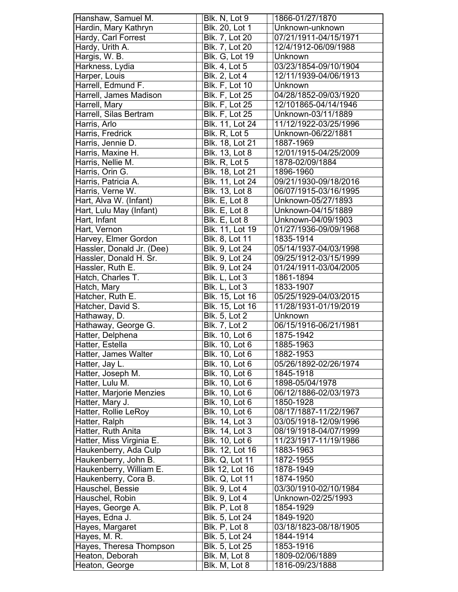| Hanshaw, Samuel M.        | Blk. N, Lot 9          | 1866-01/27/1870       |
|---------------------------|------------------------|-----------------------|
| Hardin, Mary Kathryn      | Blk. 20, Lot 1         | Unknown-unknown       |
| Hardy, Carl Forrest       | Blk. 7, Lot 20         | 07/21/1911-04/15/1971 |
| Hardy, Urith A.           | Blk. 7, Lot 20         | 12/4/1912-06/09/1988  |
| Hargis, W. B.             | <b>Blk. G, Lot 19</b>  | Unknown               |
| Harkness, Lydia           | <b>Blk.</b> 4, Lot 5   | 03/23/1854-09/10/1904 |
| Harper, Louis             | Blk. 2, Lot 4          | 12/11/1939-04/06/1913 |
| Harrell, Edmund F.        | <b>Blk. F, Lot 10</b>  | Unknown               |
| Harrell, James Madison    | <b>Blk. F, Lot 25</b>  | 04/28/1852-09/03/1920 |
| Harrell, Mary             | <b>Blk. F, Lot 25</b>  | 12/101865-04/14/1946  |
| Harrell, Silas Bertram    | <b>Blk. F, Lot 25</b>  | Unknown-03/11/1889    |
| Harris, Arlo              | <b>Blk. 11, Lot 24</b> | 11/12/1922-03/25/1996 |
| Harris, Fredrick          | Blk. R, Lot 5          | Unknown-06/22/1881    |
| Harris, Jennie D.         | Blk. 18, Lot 21        | 1887-1969             |
| Harris, Maxine H.         | Blk. 13, Lot 8         | 12/01/1915-04/25/2009 |
| Harris, Nellie M.         | Blk. R, Lot 5          | 1878-02/09/1884       |
|                           |                        |                       |
| Harris, Orin G.           | Blk. 18, Lot 21        | 1896-1960             |
| Harris, Patricia A.       | Blk. 11, Lot 24        | 09/21/1930-09/18/2016 |
| Harris, Verne W.          | <b>Blk. 13, Lot 8</b>  | 06/07/1915-03/16/1995 |
| Hart, Alva W. (Infant)    | Blk. E, Lot 8          | Unknown-05/27/1893    |
| Hart, Lulu May (Infant)   | Blk. E, Lot 8          | Unknown-04/15/1889    |
| Hart, Infant              | Blk. E, Lot 8          | Unknown-04/09/1903    |
| Hart, Vernon              | Blk. 11, Lot 19        | 01/27/1936-09/09/1968 |
| Harvey, Elmer Gordon      | Blk. 8, Lot 11         | 1835-1914             |
| Hassler, Donald Jr. (Dee) | Blk. 9, Lot 24         | 05/14/1937-04/03/1998 |
| Hassler, Donald H. Sr.    | Blk. 9, Lot 24         | 09/25/1912-03/15/1999 |
| Hassler, Ruth E.          | Blk. 9, Lot 24         | 01/24/1911-03/04/2005 |
| Hatch, Charles T.         | Blk. L, Lot 3          | 1861-1894             |
| Hatch, Mary               | Blk. L, Lot 3          | 1833-1907             |
| Hatcher, Ruth E.          | Blk. 15, Lot 16        | 05/25/1929-04/03/2015 |
| Hatcher, David S.         | Blk. 15, Lot 16        | 11/28/1931-01/19/2019 |
| Hathaway, D.              | <b>Blk. 5, Lot 2</b>   | <b>Unknown</b>        |
| Hathaway, George G.       | <b>Blk. 7, Lot 2</b>   | 06/15/1916-06/21/1981 |
| Hatter, Delphena          | Blk. 10, Lot 6         | 1875-1942             |
| Hatter, Estella           | Blk. 10, Lot 6         | 1885-1963             |
| Hatter, James Walter      | Blk. 10, Lot 6         | 1882-1953             |
| Hatter, Jay L.            | <b>Blk. 10, Lot 6</b>  | 05/26/1892-02/26/1974 |
| Hatter, Joseph M.         | Blk. 10, Lot 6         | 1845-1918             |
| Hatter, Lulu M.           | <b>Blk.</b> 10, Lot 6  | 1898-05/04/1978       |
|                           |                        |                       |
| Hatter, Marjorie Menzies  | Blk. 10, Lot 6         | 06/12/1886-02/03/1973 |
| Hatter, Mary J.           | Blk. 10, Lot 6         | 1850-1928             |
| Hatter, Rollie LeRoy      | Blk. 10, Lot 6         | 08/17/1887-11/22/1967 |
| Hatter, Ralph             | Blk. 14, Lot 3         | 03/05/1918-12/09/1996 |
| Hatter, Ruth Anita        | Blk. 14, Lot 3         | 08/19/1918-04/07/1999 |
| Hatter, Miss Virginia E.  | Blk. 10, Lot 6         | 11/23/1917-11/19/1986 |
| Haukenberry, Ada Culp     | Blk. 12, Lot 16        | 1883-1963             |
| Haukenberry, John B.      | <b>Blk. Q, Lot 11</b>  | 1872-1955             |
| Haukenberry, William E.   | Blk 12, Lot 16         | 1878-1949             |
| Haukenberry, Cora B.      | <b>Blk. Q, Lot 11</b>  | 1874-1950             |
| Hauschel, Bessie          | Blk. 9, Lot 4          | 03/30/1910-02/10/1984 |
| Hauschel, Robin           | Blk. 9, Lot 4          | Unknown-02/25/1993    |
| Hayes, George A.          | Blk. P, Lot 8          | 1854-1929             |
| Hayes, Edna J.            | Blk. 5, Lot 24         | 1849-1920             |
| Hayes, Margaret           | Blk. P, Lot 8          | 03/18/1823-08/18/1905 |
| Hayes, M. R.              | Blk. 5, Lot 24         | 1844-1914             |
| Hayes, Theresa Thompson   | Blk. 5, Lot 25         | 1853-1916             |
| Heaton, Deborah           | Blk. M, Lot 8          | 1809-02/06/1889       |
| Heaton, George            | Blk. M, Lot 8          | 1816-09/23/1888       |
|                           |                        |                       |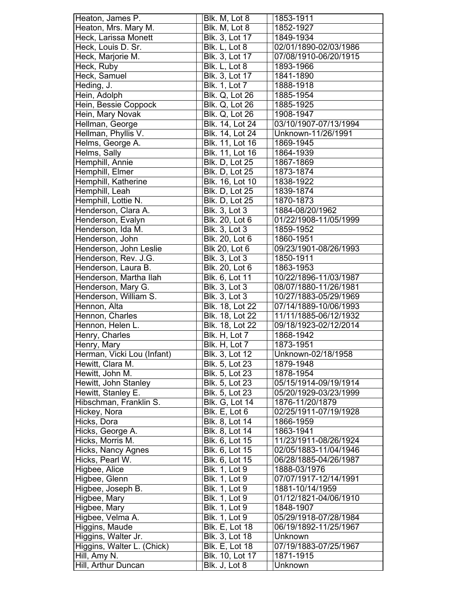| Heaton, James P.           | Blk. M, Lot 8          | 1853-1911             |
|----------------------------|------------------------|-----------------------|
| Heaton, Mrs. Mary M.       | Blk. M, Lot 8          | 1852-1927             |
| Heck, Larissa Monett       | Blk. 3, Lot 17         | 1849-1934             |
| Heck, Louis D. Sr.         | Blk. L, Lot 8          | 02/01/1890-02/03/1986 |
| Heck, Marjorie M.          | Blk. 3, Lot 17         | 07/08/1910-06/20/1915 |
| Heck, Ruby                 | Blk. L, Lot 8          | 1893-1966             |
| Heck, Samuel               | Blk. 3, Lot 17         | 1841-1890             |
| Heding, J.                 | <b>Blk. 1, Lot 7</b>   | 1888-1918             |
| Hein, Adolph               | <b>Blk. Q, Lot 26</b>  | 1885-1954             |
| Hein, Bessie Coppock       | <b>Blk. Q, Lot 26</b>  | 1885-1925             |
| Hein, Mary Novak           | <b>Blk. Q, Lot 26</b>  | 1908-1947             |
| Hellman, George            | Blk. 14, Lot 24        | 03/10/1907-07/13/1994 |
| Hellman, Phyllis V.        | <b>Blk. 14, Lot 24</b> | Unknown-11/26/1991    |
| Helms, George A.           | Blk. 11, Lot 16        | 1869-1945             |
| Helms, Sally               | Blk. 11, Lot 16        | 1864-1939             |
| Hemphill, Annie            | <b>Blk. D, Lot 25</b>  | 1867-1869             |
| Hemphill, Elmer            | <b>Blk. D, Lot 25</b>  | 1873-1874             |
| Hemphill, Katherine        | Blk. 16, Lot 10        | 1838-1922             |
| Hemphill, Leah             | <b>Blk. D, Lot 25</b>  | 1839-1874             |
| Hemphill, Lottie N.        | <b>Blk. D, Lot 25</b>  | 1870-1873             |
| Henderson, Clara A.        | <b>Blk. 3, Lot 3</b>   | 1884-08/20/1962       |
| Henderson, Evalyn          | Blk. 20, Lot 6         | 01/22/1908-11/05/1999 |
| Henderson, Ida M.          | <b>Blk. 3, Lot 3</b>   | 1859-1952             |
| Henderson, John            | Blk. 20, Lot 6         | 1860-1951             |
| Henderson, John Leslie     | <b>Blk 20, Lot 6</b>   | 09/23/1901-08/26/1993 |
| Henderson, Rev. J.G.       | <b>Blk. 3, Lot 3</b>   | 1850-1911             |
| Henderson, Laura B.        | Blk. 20, Lot 6         | 1863-1953             |
| Henderson, Martha Ilah     | Blk. 6, Lot 11         | 10/22/1896-11/03/1987 |
| Henderson, Mary G.         | <b>Blk. 3, Lot 3</b>   | 08/07/1880-11/26/1981 |
| Henderson, William S.      | <b>Blk. 3, Lot 3</b>   | 10/27/1883-05/29/1969 |
| Hennon, Alta               | Blk. 18, Lot 22        | 07/14/1889-10/06/1993 |
| Hennon, Charles            | Blk. 18, Lot 22        | 11/11/1885-06/12/1932 |
| Hennon, Helen L.           | <b>Blk. 18, Lot 22</b> | 09/18/1923-02/12/2014 |
| Henry, Charles             | Blk. H, Lot 7          | 1868-1942             |
| Henry, Mary                | Blk. H. Lot 7          | 1873-1951             |
| Herman, Vicki Lou (Infant) | Blk. 3, Lot 12         | Unknown-02/18/1958    |
| Hewitt, Clara M.           | Blk. 5, Lot 23         | 1879-1948             |
| Hewitt, John M.            | Blk. 5, Lot 23         | 1878-1954             |
| Hewitt, John Stanley       | Blk. 5, Lot 23         | 05/15/1914-09/19/1914 |
| Hewitt, Stanley E.         | Blk. 5, Lot 23         | 05/20/1929-03/23/1999 |
| Hibschman, Franklin S.     | <b>Blk. G, Lot 14</b>  | 1876-11/20/1879       |
| Hickey, Nora               | Blk. E, Lot 6          | 02/25/1911-07/19/1928 |
| Hicks, Dora                | Blk. 8, Lot 14         | 1866-1959             |
| Hicks, George A.           | Blk. 8, Lot 14         | 1863-1941             |
| Hicks, Morris M.           | Blk. 6, Lot 15         | 11/23/1911-08/26/1924 |
| Hicks, Nancy Agnes         | Blk. 6, Lot 15         | 02/05/1883-11/04/1946 |
| Hicks, Pearl W.            | Blk. 6, Lot 15         | 06/28/1885-04/26/1987 |
| Higbee, Alice              | <b>Blk. 1, Lot 9</b>   | 1888-03/1976          |
| Higbee, Glenn              | <b>Blk. 1, Lot 9</b>   | 07/07/1917-12/14/1991 |
| Higbee, Joseph B.          | <b>Blk. 1, Lot 9</b>   | 1881-10/14/1959       |
| Higbee, Mary               | <b>Blk. 1, Lot 9</b>   | 01/12/1821-04/06/1910 |
| Higbee, Mary               | <b>Blk. 1, Lot 9</b>   | 1848-1907             |
| Higbee, Velma A.           | <b>Blk. 1, Lot 9</b>   | 05/29/1918-07/28/1984 |
| Higgins, Maude             | <b>Blk. E, Lot 18</b>  | 06/19/1892-11/25/1967 |
| Higgins, Walter Jr.        | Blk. 3, Lot 18         | Unknown               |
| Higgins, Walter L. (Chick) | <b>Blk. E, Lot 18</b>  | 07/19/1883-07/25/1967 |
| Hill, Amy N.               | Blk. 10, Lot 17        | 1871-1915             |
| Hill, Arthur Duncan        | Blk. J, Lot 8          | Unknown               |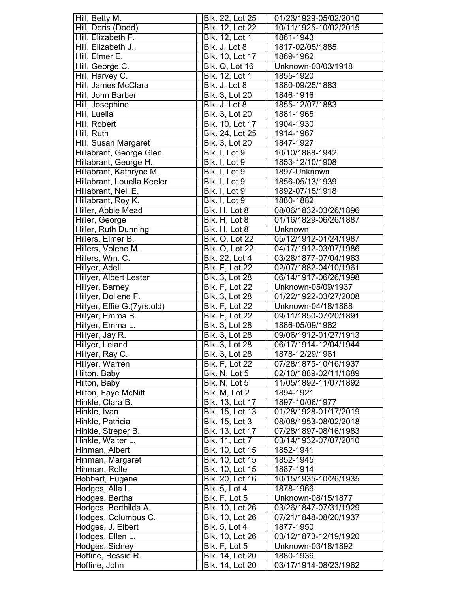| Hill, Betty M.              | Blk. 22, Lot 25            | 01/23/1929-05/02/2010 |
|-----------------------------|----------------------------|-----------------------|
| Hill, Doris (Dodd)          | Blk. 12, Lot 22            | 10/11/1925-10/02/2015 |
| Hill, Elizabeth F.          | Blk. 12, Lot 1             | 1861-1943             |
| Hill, Elizabeth J           | Blk. J, Lot 8              | 1817-02/05/1885       |
| Hill, Elmer E.              | Blk. 10, Lot 17            | 1869-1962             |
| Hill, George C.             | <b>Blk. Q, Lot 16</b>      | Unknown-03/03/1918    |
| Hill, Harvey C.             | Blk. 12, Lot 1             | 1855-1920             |
| Hill, James McClara         | Blk. J, Lot 8              | 1880-09/25/1883       |
| Hill, John Barber           | <b>Blk. 3, Lot 20</b>      | 1846-1916             |
| Hill, Josephine             | Blk. J, Lot 8              | 1855-12/07/1883       |
| Hill, Luella                | Blk. 3, Lot 20             | 1881-1965             |
| Hill, Robert                | Blk. 10, Lot 17            | 1904-1930             |
| Hill, Ruth                  | Blk. 24, Lot 25            | 1914-1967             |
| Hill, Susan Margaret        | Blk. 3, Lot 20             | 1847-1927             |
| Hillabrant, George Glen     | Blk. I, Lot 9              | 10/10/1888-1942       |
| Hillabrant, George H.       | Blk. I, Lot 9              | 1853-12/10/1908       |
| Hillabrant, Kathryne M.     | Blk. I, Lot 9              | 1897-Unknown          |
| Hillabrant, Louella Keeler  | Blk. I, Lot 9              | 1856-05/13/1939       |
| Hillabrant, Neil E.         | Blk. I, Lot 9              | 1892-07/15/1918       |
| Hillabrant, Roy K.          | Blk. I, Lot 9              | 1880-1882             |
| Hiller, Abbie Mead          | Blk. H, Lot 8              | 08/06/1832-03/26/1896 |
| Hiller, George              | Blk. H, Lot 8              | 01/16/1829-06/26/1887 |
| Hiller, Ruth Dunning        | Blk. H, Lot 8              | Unknown               |
|                             |                            | 05/12/1912-01/24/1987 |
| Hillers, Elmer B.           | <b>Blk. O, Lot 22</b>      |                       |
| Hillers, Volene M.          | Blk. O, Lot 22             | 04/17/1912-03/07/1986 |
| Hillers, Wm. C.             | Blk. 22, Lot 4             | 03/28/1877-07/04/1963 |
| Hillyer, Adell              | <b>Blk. F, Lot 22</b>      | 02/07/1882-04/10/1961 |
| Hillyer, Albert Lester      | Blk. 3, Lot 28             | 06/14/1917-06/26/1998 |
| Hillyer, Barney             | <b>Blk. F, Lot 22</b>      | Unknown-05/09/1937    |
| Hillyer, Dollene F.         | Blk. 3, Lot 28             | 01/22/1922-03/27/2008 |
| Hillyer, Effie G.(7yrs.old) | Blk. F, Lot 22             | Unknown-04/18/1888    |
| Hillyer, Emma B.            | <b>Blk. F, Lot 22</b>      | 09/11/1850-07/20/1891 |
| Hillyer, Emma L.            | <b>Blk. 3, Lot 28</b>      | 1886-05/09/1962       |
| Hillyer, Jay R.             | Blk. 3, Lot 28             | 09/06/1912-01/27/1913 |
| Hillyer, Leland             | Blk. 3, Lot 28             | 06/17/1914-12/04/1944 |
| Hillyer, Ray C.             | Blk. 3, Lot 28             | 1878-12/29/1961       |
| Hillyer, Warren             | <b>Blk. F, Lot 22</b>      | 07/28/1875-10/16/1937 |
| Hilton, Baby                | Blk. N, Lot 5              | 02/10/1889-02/11/1889 |
| Hilton, Baby                | Blk. N, Lot $\overline{5}$ | 11/05/1892-11/07/1892 |
| Hilton, Faye McNitt         | Blk. M, Lot 2              | 1894-1921             |
| Hinkle, Clara B.            | Blk. 13, Lot 17            | 1897-10/06/1977       |
| Hinkle, Ivan                | Blk. 15, Lot 13            | 01/28/1928-01/17/2019 |
| Hinkle, Patricia            | Blk. 15, Lot 3             | 08/08/1953-08/02/2018 |
| Hinkle, Streper B.          | Blk. 13, Lot 17            | 07/28/1897-08/16/1983 |
| Hinkle, Walter L.           | Blk. 11, Lot 7             | 03/14/1932-07/07/2010 |
| Hinman, Albert              | Blk. 10, Lot 15            | 1852-1941             |
| Hinman, Margaret            | <b>Blk.</b> 10, Lot 15     | 1852-1945             |
| Hinman, Rolle               | Blk. 10, Lot 15            | 1887-1914             |
| Hobbert, Eugene             | Blk. 20, Lot 16            | 10/15/1935-10/26/1935 |
| Hodges, Alla L.             | Blk. 5, Lot 4              | 1878-1966             |
| Hodges, Bertha              | Blk. F, Lot 5              | Unknown-08/15/1877    |
| Hodges, Berthilda A.        | Blk. 10, Lot 26            | 03/26/1847-07/31/1929 |
| Hodges, Columbus C.         | Blk. 10, Lot 26            | 07/21/1848-08/20/1937 |
| Hodges, J. Elbert           | Blk. 5, Lot 4              | 1877-1950             |
| Hodges, Ellen L.            | Blk. 10, Lot 26            | 03/12/1873-12/19/1920 |
| Hodges, Sidney              | Blk. F, Lot 5              | Unknown-03/18/1892    |
| Hoffine, Bessie R.          | Blk. 14, Lot 20            | 1880-1936             |
| Hoffine, John               | Blk. 14, Lot 20            | 03/17/1914-08/23/1962 |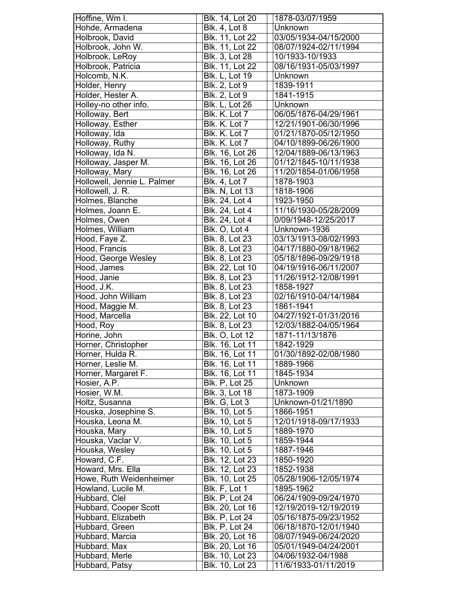| Hoffine, Wm I.              | Blk. 14, Lot 20        | 1878-03/07/1959       |
|-----------------------------|------------------------|-----------------------|
| Hohde, Armadena             | <b>Blk. 4, Lot 8</b>   | Unknown               |
| Holbrook, David             | Blk. 11, Lot 22        | 03/05/1934-04/15/2000 |
| Holbrook, John W.           | Blk. 11, Lot 22        | 08/07/1924-02/11/1994 |
| Holbrook, LeRoy             | <b>Blk. 3, Lot 28</b>  | 10/1933-10/1933       |
| Holbrook, Patricia          | Blk. 11, Lot 22        | 08/16/1931-05/03/1997 |
| Holcomb, N.K.               | Blk. L, Lot 19         | Unknown               |
| Holder, Henry               | <b>Blk. 2, Lot 9</b>   | 1839-1911             |
| Holder, Hester A.           | <b>Blk. 2, Lot 9</b>   | 1841-1915             |
| Holley-no other info.       | <b>Blk. L, Lot 26</b>  | Unknown               |
| Holloway, Bert              | Blk. K. Lot 7          | 06/05/1876-04/29/1961 |
|                             | Blk. K. Lot 7          | 12/21/1901-06/30/1996 |
| Holloway, Esther            |                        |                       |
| Holloway, Ida               | Blk. K. Lot 7          | 01/21/1870-05/12/1950 |
| Holloway, Ruthy             | Blk. K. Lot 7          | 04/10/1899-06/26/1900 |
| Holloway, Ida N.            | Blk. 16, Lot 26        | 12/04/1889-06/13/1963 |
| Holloway, Jasper M.         | Blk. 16, Lot 26        | 01/12/1845-10/11/1938 |
| Holloway, Mary              | Blk. 16, Lot 26        | 11/20/1854-01/06/1958 |
| Hollowell, Jennie L. Palmer | <b>Blk. 4, Lot 7</b>   | 1878-1903             |
| Hollowell, J. R.            | <b>Blk. N, Lot 13</b>  | 1818-1906             |
| Holmes, Blanche             | Blk. 24, Lot 4         | 1923-1950             |
| Holmes, Joann E.            | <b>Blk. 24, Lot 4</b>  | 11/16/1930-05/28/2009 |
| Holmes, Owen                | Blk. 24, Lot 4         | 0/09/1948-12/25/2017  |
| Holmes, William             | Blk. O, Lot 4          | Unknown-1936          |
| Hood, Faye Z.               | Blk. 8, Lot 23         | 03/13/1913-08/02/1993 |
| Hood, Francis               | <b>Blk. 8, Lot 23</b>  | 04/17/1880-09/18/1962 |
| Hood, George Wesley         | Blk. 8, Lot 23         | 05/18/1896-09/29/1918 |
| Hood, James                 | Blk. 22, Lot 10        | 04/19/1916-06/11/2007 |
| Hood, Janie                 | Blk. 8, Lot 23         | 11/26/1912-12/08/1991 |
| Hood, J.K.                  | Blk. 8, Lot 23         | 1858-1927             |
| Hood, John William          | Blk. 8, Lot 23         | 02/16/1910-04/14/1984 |
| Hood, Maggie M.             | Blk. 8, Lot 23         | 1861-1941             |
| Hood, Marcella              | Blk. 22, Lot 10        | 04/27/1921-01/31/2016 |
| Hood, Roy                   | <b>Blk. 8, Lot 23</b>  | 12/03/1882-04/05/1964 |
| Horine, John                | <b>Blk. O, Lot 12</b>  | 1871-11/13/1876       |
| Horner, Christopher         | <b>Blk.</b> 16, Lot 11 | 1842-1929             |
| Horner, Hulda R.            | Blk. 16, Lot 11        | 01/30/1892-02/08/1980 |
| Horner, Leslie M.           | Blk. 16, Lot 11        | 1889-1966             |
| Horner, Margaret F.         | <b>Blk. 16, Lot 11</b> | 1845-1934             |
| Hosier, A.P.                | <b>Blk. P, Lot 25</b>  | Unknown               |
| Hosier, W.M.                | <b>Blk. 3, Lot 18</b>  | 1873-1909             |
| Holtz, Susanna              | Blk. G, Lot 3          | Unknown-01/21/1890    |
| Houska, Josephine S.        | Blk. 10, Lot 5         | 1866-1951             |
| Houska, Leona M.            | Blk. 10, Lot 5         | 12/01/1918-09/17/1933 |
| Houska, Mary                | Blk. 10, Lot 5         | 1889-1970             |
| Houska, Vaclar V.           | Blk. 10, Lot 5         | 1859-1944             |
| Houska, Wesley              | Blk. 10, Lot 5         | 1887-1946             |
| Howard, C.F.                | Blk. 12, Lot 23        | 1850-1920             |
| Howard, Mrs. Ella           | Blk. 12, Lot 23        | 1852-1938             |
| Howe, Ruth Weidenheimer     | Blk. 10, Lot 25        | 05/28/1906-12/05/1974 |
| Howland, Lucile M.          | Blk. F, Lot 1          | 1895-1962             |
| Hubbard, Clel               | <b>Blk. P, Lot 24</b>  | 06/24/1909-09/24/1970 |
| Hubbard, Cooper Scott       | Blk. 20, Lot 16        | 12/19/2019-12/19/2019 |
| Hubbard, Elizabeth          | <b>Blk. P, Lot 24</b>  | 05/16/1875-09/23/1952 |
| Hubbard, Green              | <b>Blk. P, Lot 24</b>  | 06/18/1870-12/01/1940 |
| Hubbard, Marcia             | Blk. 20, Lot 16        | 08/07/1949-06/24/2020 |
| Hubbard, Max                | Blk. 20, Lot 16        | 05/01/1949-04/24/2001 |
| Hubbard, Merle              | Blk. 10, Lot 23        | 04/06/1932-04/1988    |
| Hubbard, Patsy              | <b>Blk. 10, Lot 23</b> | 11/6/1933-01/11/2019  |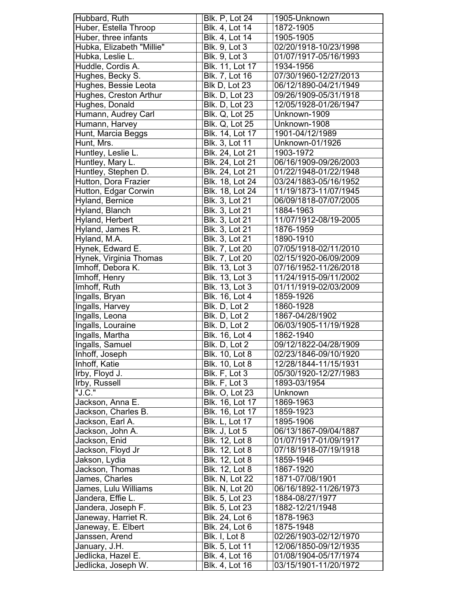| Hubbard, Ruth                  | <b>Blk. P, Lot 24</b> | 1905-Unknown          |
|--------------------------------|-----------------------|-----------------------|
| Huber, Estella Throop          | Blk. 4, Lot 14        | 1872-1905             |
| Huber, three infants           | Blk. 4, Lot 14        | 1905-1905             |
| Hubka, Elizabeth "Millie"      | <b>Blk. 9, Lot 3</b>  | 02/20/1918-10/23/1998 |
| Hubka, Leslie L.               | <b>Blk. 9, Lot 3</b>  | 01/07/1917-05/16/1993 |
| Huddle, Cordis A.              | Blk. 11, Lot 17       | 1934-1956             |
| Hughes, Becky S.               | Blk. 7, Lot 16        | 07/30/1960-12/27/2013 |
| Hughes, Bessie Leota           | Blk D, Lot 23         | 06/12/1890-04/21/1949 |
| Hughes, Creston Arthur         | <b>Blk. D, Lot 23</b> | 09/26/1909-05/31/1918 |
| Hughes, Donald                 | <b>Blk. D, Lot 23</b> | 12/05/1928-01/26/1947 |
| Humann, Audrey Carl            | <b>Blk. Q, Lot 25</b> | Unknown-1909          |
| Humann, Harvey                 | <b>Blk. Q, Lot 25</b> | Unknown-1908          |
| Hunt, Marcia Beggs             | Blk. 14, Lot 17       | 1901-04/12/1989       |
| Hunt, Mrs.                     | Blk. 3, Lot 11        | Unknown-01/1926       |
| Huntley, Leslie L.             | Blk. 24, Lot 21       | 1903-1972             |
| Huntley, Mary L.               | Blk. 24, Lot 21       | 06/16/1909-09/26/2003 |
| Huntley, Stephen D.            | Blk. 24, Lot 21       | 01/22/1948-01/22/1948 |
| Hutton, Dora Frazier           | Blk. 18, Lot 24       | 03/24/1883-05/16/1952 |
| Hutton, Edgar Corwin           | Blk. 18, Lot 24       | 11/19/1873-11/07/1945 |
|                                | Blk. 3, Lot 21        | 06/09/1818-07/07/2005 |
| Hyland, Bernice                |                       |                       |
| Hyland, Blanch                 | Blk. 3, Lot 21        | 1884-1963             |
| Hyland, Herbert                | Blk. 3, Lot 21        | 11/07/1912-08/19-2005 |
| Hyland, James R.               | Blk. 3, Lot 21        | 1876-1959             |
| Hyland, M.A.                   | Blk. 3, Lot 21        | 1890-1910             |
| Hynek, Edward E.               | Blk. 7, Lot 20        | 07/05/1918-02/11/2010 |
| Hynek, Virginia Thomas         | <b>Blk.</b> 7, Lot 20 | 02/15/1920-06/09/2009 |
| Imhoff, Debora K.              | <b>Blk. 13, Lot 3</b> | 07/16/1952-11/26/2018 |
| Imhoff, Henry                  | Blk. 13, Lot 3        | 11/24/1915-09/11/2002 |
| Imhoff, Ruth                   | Blk. 13, Lot 3        | 01/11/1919-02/03/2009 |
| Ingalls, Bryan                 | Blk. 16, Lot 4        | 1859-1926             |
| Ingalls, Harvey                | Blk. D, Lot 2         | 1860-1928             |
| Ingalls, Leona                 | Blk. D, Lot 2         | 1867-04/28/1902       |
| Ingalls, Louraine              | Blk. D, Lot 2         | 06/03/1905-11/19/1928 |
| Ingalls, Martha                | Blk. 16, Lot 4        | 1862-1940             |
| Ingalls, Samuel                | Blk. D, Lot 2         | 09/12/1822-04/28/1909 |
| Inhoff, Joseph                 | <b>Blk. 10, Lot 8</b> | 02/23/1846-09/10/1920 |
| Inhoff, Katie                  | Blk. 10, Lot 8        | 12/28/1844-11/15/1931 |
| Irby, Floyd J.                 | Blk. F, Lot 3         | 05/30/1920-12/27/1983 |
| Irby, Russell                  | Blk. F, Lot 3         | 1893-03/1954          |
| "J. $\overline{\textsf{C}.}$ " | <b>Blk. O, Lot 23</b> | <b>Unknown</b>        |
| Jackson, Anna E.               | Blk. 16, Lot 17       | 1869-1963             |
| Jackson, Charles B.            | Blk. 16, Lot 17       | 1859-1923             |
| Jackson, Earl A.               | <b>Blk. L, Lot 17</b> | 1895-1906             |
| Jackson, John A.               | Blk. J, Lot 5         | 06/13/1867-09/04/1887 |
| Jackson, Enid                  | Blk. 12, Lot 8        | 01/07/1917-01/09/1917 |
| Jackson, Floyd Jr              | Blk. 12, Lot 8        | 07/18/1918-07/19/1918 |
| Jakson, Lydia                  | <b>Blk. 12, Lot 8</b> | 1859-1946             |
| Jackson, Thomas                | <b>Blk.</b> 12, Lot 8 | 1867-1920             |
| James, Charles                 | <b>Blk. N, Lot 22</b> | 1871-07/08/1901       |
| James, Lulu Williams           | Blk. N, Lot 20        | 06/16/1892-11/26/1973 |
| Jandera, Effie L.              | Blk. 5, Lot 23        | 1884-08/27/1977       |
| Jandera, Joseph F.             | Blk. 5, Lot 23        | 1882-12/21/1948       |
| Janeway, Harriet R.            | Blk. 24, Lot 6        | 1878-1963             |
| Janeway, E. Elbert             | Blk. 24, Lot 6        | 1875-1948             |
|                                | Blk. I, Lot 8         | 02/26/1903-02/12/1970 |
| Janssen, Arend                 |                       |                       |
| January, J.H.                  | Blk. 5, Lot 11        | 12/06/1850-09/12/1935 |
| Jedlicka, Hazel E.             | <b>Blk. 4, Lot 16</b> | 01/08/1904-05/17/1974 |
| Jedlicka, Joseph W.            | Blk. 4, Lot 16        | 03/15/1901-11/20/1972 |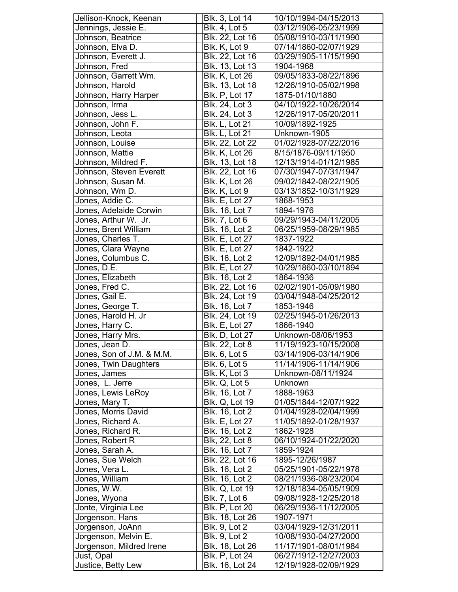| Jellison-Knock, Keenan    | Blk. 3, Lot 14        | 10/10/1994-04/15/2013 |
|---------------------------|-----------------------|-----------------------|
| Jennings, Jessie E.       | <b>Blk. 4, Lot 5</b>  | 03/12/1906-05/23/1999 |
| Johnson, Beatrice         | Blk. 22, Lot 16       | 05/08/1910-03/11/1990 |
| Johnson, Elva D.          | Blk. K, Lot 9         | 07/14/1860-02/07/1929 |
| Johnson, Everett J.       | Blk. 22, Lot 16       | 03/29/1905-11/15/1990 |
| Johnson, Fred             | Blk. 13, Lot 13       | 1904-1968             |
| Johnson, Garrett Wm.      | Blk. K, Lot 26        | 09/05/1833-08/22/1896 |
| Johnson, Harold           | Blk. 13, Lot 18       | 12/26/1910-05/02/1998 |
| Johnson, Harry Harper     | Blk. P, Lot 17        | 1875-01/10/1880       |
| Johnson, Irma             | Blk. 24, Lot 3        | 04/10/1922-10/26/2014 |
| Johnson, Jess L.          | Blk. 24, Lot 3        | 12/26/1917-05/20/2011 |
| Johnson, John F.          | <b>Blk. L, Lot 21</b> | 10/09/1892-1925       |
| Johnson, Leota            | <b>Blk. L, Lot 21</b> | Unknown-1905          |
| Johnson, Louise           | Blk. 22, Lot 22       | 01/02/1928-07/22/2016 |
| Johnson, Mattie           | <b>Blk. K, Lot 26</b> | 8/15/1876-09/11/1950  |
| Johnson, Mildred F.       | Blk. 13, Lot 18       | 12/13/1914-01/12/1985 |
| Johnson, Steven Everett   | Blk. 22, Lot 16       | 07/30/1947-07/31/1947 |
| Johnson, Susan M.         | Blk. K, Lot 26        | 09/02/1842-08/22/1905 |
| Johnson, Wm D.            | Blk. K, Lot 9         | 03/13/1852-10/31/1929 |
| Jones, Addie C.           | <b>Blk. E, Lot 27</b> | 1868-1953             |
| Jones, Adelaide Corwin    | Blk. 16, Lot 7        | 1894-1976             |
| Jones, Arthur W. Jr.      | <b>Blk. 7, Lot 6</b>  | 09/29/1943-04/11/2005 |
| Jones, Brent William      | Blk. 16, Lot 2        | 06/25/1959-08/29/1985 |
| Jones, Charles T.         | <b>Blk. E, Lot 27</b> | 1837-1922             |
| Jones, Clara Wayne        | <b>Blk. E, Lot 27</b> | 1842-1922             |
| Jones, Columbus C.        | Blk. 16, Lot 2        | 12/09/1892-04/01/1985 |
| Jones, D.E.               | <b>Blk. E, Lot 27</b> | 10/29/1860-03/10/1894 |
| Jones, Elizabeth          | Blk. 16, Lot 2        | 1864-1936             |
| Jones, Fred C.            | Blk. 22, Lot 16       | 02/02/1901-05/09/1980 |
| Jones, Gail E.            | Blk. 24, Lot 19       | 03/04/1948-04/25/2012 |
| Jones, George T.          | Blk. 16, Lot 7        | 1853-1946             |
| Jones, Harold H. Jr       | Blk. 24, Lot 19       | 02/25/1945-01/26/2013 |
| Jones, Harry C.           | <b>Blk. E, Lot 27</b> | 1866-1940             |
| Jones, Harry Mrs.         | <b>Blk. D, Lot 27</b> | Unknown-08/06/1953    |
| Jones, Jean D.            | Blk. 22, Lot 8        | 11/19/1923-10/15/2008 |
| Jones, Son of J.M. & M.M. | Blk. 6, Lot 5         | 03/14/1906-03/14/1906 |
| Jones, Twin Daughters     | <b>Blk. 6, Lot 5</b>  | 11/14/1906-11/14/1906 |
| Jones, James              | Blk. K, Lot 3         | Unknown-08/11/1924    |
| Jones, L. Jerre           | Blk. Q, Lot 5         | Unknown               |
| Jones, Lewis LeRoy        | Blk. 16, Lot 7        | 1888-1963             |
| Jones, Mary T.            | <b>Blk. Q, Lot 19</b> | 01/05/1844-12/07/1922 |
| Jones, Morris David       | Blk. 16, Lot 2        | 01/04/1928-02/04/1999 |
| Jones, Richard A.         | <b>Blk. E, Lot 27</b> | 11/05/1892-01/28/1937 |
| Jones, Richard R.         | Blk. 16, Lot 2        | 1862-1928             |
| Jones, Robert R           | Blk, 22, Lot 8        | 06/10/1924-01/22/2020 |
| Jones, Sarah A.           | Blk. 16, Lot 7        | 1859-1924             |
| Jones, Sue Welch          | Blk. 22, Lot 16       | 1895-12/26/1987       |
| Jones, Vera L.            | Blk. 16, Lot 2        | 05/25/1901-05/22/1978 |
| Jones, William            | <b>Blk. 16, Lot 2</b> | 08/21/1936-08/23/2004 |
| Jones, W.W.               | <b>Blk. Q, Lot 19</b> | 12/18/1834-05/05/1909 |
| Jones, Wyona              | <b>Blk. 7, Lot 6</b>  | 09/08/1928-12/25/2018 |
| Jonte, Virginia Lee       | <b>Blk. P. Lot 20</b> | 06/29/1936-11/12/2005 |
| Jorgenson, Hans           | Blk. 18, Lot 26       | 1907-1971             |
| Jorgenson, JoAnn          | <b>Blk. 9, Lot 2</b>  | 03/04/1929-12/31/2011 |
| Jorgenson, Melvin E.      | <b>Blk. 9, Lot 2</b>  | 10/08/1930-04/27/2000 |
| Jorgenson, Mildred Irene  | Blk. 18, Lot 26       | 11/17/1901-08/01/1984 |
| Just, Opal                | Blk. P, Lot 24        | 06/27/1912-12/27/2003 |
| Justice, Betty Lew        | Blk. 16, Lot 24       | 12/19/1928-02/09/1929 |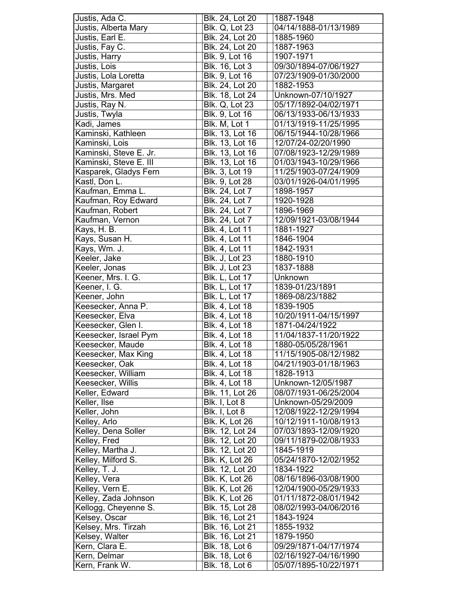| Justis, Ada C.                 | Blk. 24, Lot 20                                | 1887-1948                                      |
|--------------------------------|------------------------------------------------|------------------------------------------------|
| Justis, Alberta Mary           | Blk. Q, Lot 23                                 | 04/14/1888-01/13/1989                          |
| Justis, Earl E.                | Blk. 24, Lot 20                                | 1885-1960                                      |
| Justis, Fay C.                 | Blk. 24, Lot 20                                | 1887-1963                                      |
| Justis, Harry                  | <b>Blk.</b> 9, Lot 16                          | 1907-1971                                      |
| Justis, Lois                   | Blk. 16, Lot 3                                 | 09/30/1894-07/06/1927                          |
| Justis, Lola Loretta           | Blk. 9, Lot 16                                 | 07/23/1909-01/30/2000                          |
| Justis, Margaret               | Blk. 24, Lot 20                                | 1882-1953                                      |
| Justis, Mrs. Med               | Blk. 18, Lot 24                                | Unknown-07/10/1927                             |
| Justis, Ray N.                 | <b>Blk. Q, Lot 23</b>                          | 05/17/1892-04/02/1971                          |
| Justis, Twyla                  | Blk. 9, Lot 16                                 | 06/13/1933-06/13/1933                          |
| Kadi, James                    | Blk. M, Lot 1                                  | 01/13/1919-11/25/1995                          |
| Kaminski, Kathleen             | Blk. 13, Lot 16                                | 06/15/1944-10/28/1966                          |
| Kaminski, Lois                 | Blk. 13, Lot 16                                | 12/07/24-02/20/1990                            |
| Kaminski, Steve E. Jr.         | <b>Blk. 13, Lot 16</b>                         | 07/08/1923-12/29/1989                          |
| Kaminski, Steve E. III         | <b>Blk. 13, Lot 16</b>                         | 01/03/1943-10/29/1966                          |
| Kasparek, Gladys Fern          | Blk. 3, Lot 19                                 | 11/25/1903-07/24/1909                          |
| Kastl, Don L.                  | Blk. 9, Lot 28                                 | 03/01/1926-04/01/1995                          |
| Kaufman, Emma L.               | Blk. 24, Lot 7                                 | 1898-1957                                      |
| Kaufman, Roy Edward            | Blk. 24, Lot 7                                 | 1920-1928                                      |
| Kaufman, Robert                | <b>Blk. 24, Lot 7</b>                          | 1896-1969                                      |
|                                |                                                |                                                |
| Kaufman, Vernon                | Blk. 24, Lot 7                                 | 12/09/1921-03/08/1944                          |
| Kays, H. B.                    | Blk. 4, Lot 11                                 | 1881-1927                                      |
| Kays, Susan H.                 | Blk. 4, Lot 11                                 | 1846-1904                                      |
| Kays, Wm. J.                   | Blk. 4, Lot 11                                 | 1842-1931                                      |
| Keeler, Jake                   | <b>Blk. J, Lot 23</b>                          | 1880-1910                                      |
| Keeler, Jonas                  | <b>Blk. J, Lot 23</b>                          | 1837-1888                                      |
| Keener, Mrs. I. G.             | <b>Blk. L, Lot 17</b>                          | Unknown                                        |
| Keener, I. G.                  | <b>Blk. L, Lot 17</b>                          | 1839-01/23/1891                                |
| Keener, John                   | <b>Blk. L, Lot 17</b>                          | 1869-08/23/1882                                |
| Keesecker, Anna P.             | Blk. 4, Lot 18                                 | 1839-1905                                      |
| Keesecker, Elva                | Blk. 4, Lot 18                                 | 10/20/1911-04/15/1997                          |
|                                |                                                |                                                |
| Keesecker, Glen I.             | Blk. 4, Lot 18                                 | 1871-04/24/1922                                |
| Keesecker, Israel Pym          | Blk. 4, Lot 18                                 | 11/04/1837-11/20/1922                          |
| Keesecker, Maude               | <b>Blk. 4, Lot 18</b>                          | 1880-05/05/28/1961                             |
| Keesecker, Max King            | Blk. 4, Lot 18                                 | 11/15/1905-08/12/1982                          |
| Keesecker, Oak                 | Blk. 4, Lot 18                                 | 04/21/1903-01/18/1963                          |
| Keesecker, William             | <b>Blk. 4, Lot 18</b>                          | 1828-1913                                      |
| Keesecker, Willis              | Blk. 4, Lot 18                                 | Unknown-12/05/1987                             |
| Keller, Edward                 | Blk. 11, Lot 26                                | 08/07/1931-06/25/2004                          |
| Keller, Ilse                   | Blk. I, Lot 8                                  | Unknown-05/29/2009                             |
| Keller, John                   | Bik. I, Lot 8                                  | 12/08/1922-12/29/1994                          |
|                                | <b>Blk. K, Lot 26</b>                          | 10/12/1911-10/08/1913                          |
| Kelley, Arlo                   | Blk. 12, Lot 24                                | 07/03/1893-12/09/1920                          |
| Kelley, Dena Soller            |                                                | 09/11/1879-02/08/1933                          |
| Kelley, Fred                   | Blk. 12, Lot 20                                |                                                |
| Kelley, Martha J.              | Blk. 12, Lot 20                                | 1845-1919                                      |
| Kelley, Milford S.             | <b>Blk. K, Lot 26</b>                          | 05/24/1870-12/02/1952                          |
| Kelley, T. J.                  | Blk. 12, Lot 20                                | 1834-1922                                      |
| Kelley, Vera                   | <b>Blk. K, Lot 26</b>                          | 08/16/1896-03/08/1900                          |
| Kelley, Vern E.                | <b>Blk. K, Lot 26</b>                          | 12/04/1900-05/29/1933                          |
| Kelley, Zada Johnson           | <b>Blk. K, Lot 26</b>                          | 01/11/1872-08/01/1942                          |
| Kellogg, Cheyenne S.           | Blk. 15, Lot 28                                | 08/02/1993-04/06/2016                          |
| Kelsey, Oscar                  | Blk. 16, Lot 21                                | 1843-1924                                      |
| Kelsey, Mrs. Tirzah            | Blk. 16, Lot 21                                | 1855-1932                                      |
| Kelsey, Walter                 | Blk. 16, Lot 21                                | 1879-1950                                      |
| Kern, Clara E.                 | <b>Blk.</b> 18, Lot 6                          | 09/29/1871-04/17/1974                          |
| Kern, Delmar<br>Kern, Frank W. | <b>Blk. 18, Lot 6</b><br><b>Blk.</b> 18, Lot 6 | 02/16/1927-04/16/1990<br>05/07/1895-10/22/1971 |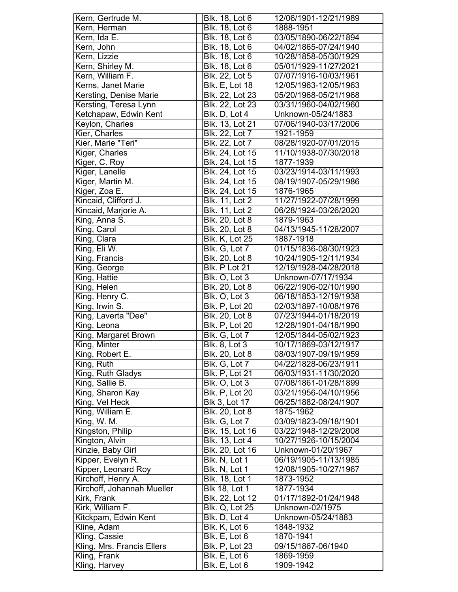| Kern, Gertrude M.              | Blk. 18, Lot 6         | 12/06/1901-12/21/1989 |
|--------------------------------|------------------------|-----------------------|
| Kern, Herman                   | Blk. 18, Lot 6         | 1888-1951             |
| Kern, Ida E.                   | Blk. 18, Lot 6         | 03/05/1890-06/22/1894 |
| Kern, John                     | Blk. 18, Lot 6         | 04/02/1865-07/24/1940 |
| Kern, Lizzie                   | Blk. 18, Lot 6         | 10/28/1858-05/30/1929 |
| Kern, Shirley M.               | Blk. 18, Lot 6         | 05/01/1929-11/27/2021 |
| Kern, William F.               | Blk. 22, Lot 5         | 07/07/1916-10/03/1961 |
| Kerns, Janet Marie             | <b>Blk. E, Lot 18</b>  | 12/05/1963-12/05/1963 |
| Kersting, Denise Marie         | Blk. 22, Lot 23        | 05/20/1968-05/21/1968 |
| Kersting, Teresa Lynn          | Blk. 22, Lot 23        | 03/31/1960-04/02/1960 |
| Ketchapaw, Edwin Kent          | Blk. D, Lot 4          | Unknown-05/24/1883    |
| Keylon, Charles                | Blk. 13, Lot 21        | 07/06/1940-03/17/2006 |
| Kier, Charles                  | Blk. 22, Lot 7         | 1921-1959             |
| Kier, Marie "Teri"             | Blk. 22, Lot 7         | 08/28/1920-07/01/2015 |
| Kiger, Charles                 | <b>Blk. 24, Lot 15</b> | 11/10/1938-07/30/2018 |
| Kiger, C. Roy                  | Blk. 24, Lot 15        | 1877-1939             |
| Kiger, Lanelle                 | Blk. 24, Lot 15        | 03/23/1914-03/11/1993 |
| Kiger, Martin M.               | Blk. 24, Lot 15        | 08/19/1907-05/29/1986 |
| Kiger, Zoa E.                  | Blk. 24, Lot 15        | 1876-1965             |
| Kincaid, Clifford J.           | Blk. 11, Lot 2         | 11/27/1922-07/28/1999 |
| Kincaid, Marjorie A.           | <b>Blk. 11, Lot 2</b>  | 06/28/1924-03/26/2020 |
| King, Anna S.                  | Blk. 20, Lot 8         | 1879-1963             |
| King, Carol                    | Blk. 20, Lot 8         | 04/13/1945-11/28/2007 |
| King, Clara                    | <b>Blk. K, Lot 25</b>  | 1887-1918             |
| King, Eli W.                   | Blk. G, Lot 7          | 01/15/1836-08/30/1923 |
| King, Francis                  | <b>Blk.</b> 20, Lot 8  | 10/24/1905-12/11/1934 |
| King, George                   | Blk. P Lot 21          | 12/19/1928-04/28/2018 |
| King, Hattie                   | Blk. O, Lot 3          | Unknown-07/17/1934    |
| King, Helen                    | <b>Blk. 20, Lot 8</b>  | 06/22/1906-02/10/1990 |
| King, Henry C.                 | Blk. O, Lot 3          | 06/18/1853-12/19/1938 |
| King, Irwin $\overline{S}$ .   | <b>Blk. P, Lot 20</b>  | 02/03/1897-10/08/1976 |
| King, Laverta "Dee"            | Blk. 20, Lot 8         | 07/23/1944-01/18/2019 |
| King, Leona                    | Blk. P, Lot 20         | 12/28/1901-04/18/1990 |
| King, Margaret Brown           | Blk. G, Lot 7          | 12/05/1844-05/02/1923 |
| King, Minter                   | <b>Blk.</b> 8, Lot 3   | 10/17/1869-03/12/1917 |
| King, Robert E.                | Blk. 20, Lot 8         | 08/03/1907-09/19/1959 |
| King, Ruth                     | Blk. G, Lot 7          | 04/22/1828-06/23/1911 |
| King, Ruth Gladys              | Blk. P, Lot 21         | 06/03/1931-11/30/2020 |
| King, Sallie B.                | Blk. O, Lot 3          | 07/08/1861-01/28/1899 |
| King, Sharon Kay               | <b>Blk. P, Lot 20</b>  | 03/21/1956-04/10/1956 |
| King, Vel Heck                 | <b>Blk 3, Lot 17</b>   | 06/25/1882-08/24/1907 |
| King, William $\overline{E}$ . | Blk. 20, Lot 8         | 1875-1962             |
| King, W. M.                    | Blk. G, Lot 7          | 03/09/1823-09/18/1901 |
| Kingston, Philip               | Blk. 15, Lot 16        | 03/22/1948-12/29/2008 |
| Kington, Alvin                 | Blk. 13, Lot 4         | 10/27/1926-10/15/2004 |
| Kinzie, Baby Girl              | Blk. 20, Lot 16        | Unknown-01/20/1967    |
| Kipper, Evelyn R.              | Blk. N, Lot 1          | 06/19/1905-11/13/1985 |
| Kipper, Leonard Roy            | Blk. N, Lot 1          | 12/08/1905-10/27/1967 |
| Kirchoff, Henry A.             | Blk. 18, Lot 1         | 1873-1952             |
| Kirchoff, Johannah Mueller     | <b>Blk 18, Lot 1</b>   | 1877-1934             |
| Kirk, Frank                    | Blk. 22, Lot 12        | 01/17/1892-01/24/1948 |
| Kirk, William F.               | <b>Blk. Q, Lot 25</b>  | Unknown-02/1975       |
| Kitckpam, Edwin Kent           | Blk. D, Lot 4          | Unknown-05/24/1883    |
| Kline, Adam                    | Blk. K, Lot 6          | 1848-1932             |
| Kling, Cassie                  | Blk. E, Lot 6          | 1870-1941             |
| Kling, Mrs. Francis Ellers     | <b>Blk. P, Lot 23</b>  | 09/15/1867-06/1940    |
| Kling, Frank                   | Blk. E, Lot 6          | 1869-1959             |
| Kling, Harvey                  | Blk. E, Lot 6          | 1909-1942             |
|                                |                        |                       |